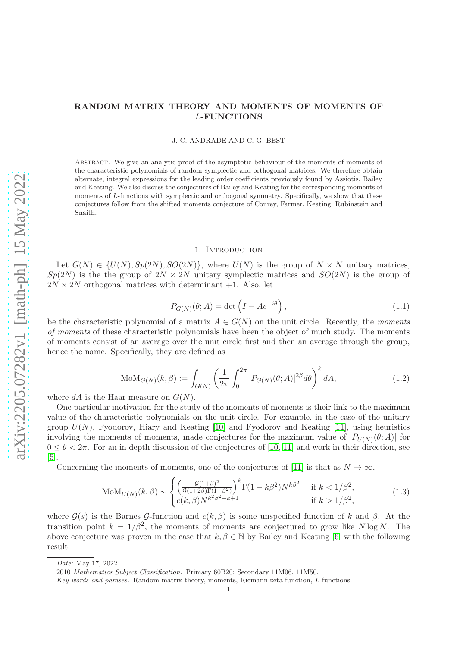# RANDOM MATRIX THEORY AND MOMENTS OF MOMENTS OF L-FUNCTIONS

J. C. ANDRADE AND C. G. BEST

Abstract. We give an analytic proof of the asymptotic behaviour of the moments of moments of the characteristic polynomials of random symplectic and orthogonal matrices. We therefore obtain alternate, integral expressions for the leading order coefficients previously found by Assiotis, Bailey and Keating. We also discuss the conjectures of Bailey and Keating for the corresponding moments of moments of L-functions with symplectic and orthogonal symmetry. Specifically, we show that these conjectures follow from the shifted moments conjecture of Conrey, Farmer, Keating, Rubinstein and Snaith.

#### 1. INTRODUCTION

Let  $G(N) \in \{U(N), Sp(2N), SO(2N)\}\)$ , where  $U(N)$  is the group of  $N \times N$  unitary matrices,  $Sp(2N)$  is the the group of  $2N \times 2N$  unitary symplectic matrices and  $SO(2N)$  is the group of  $2N \times 2N$  orthogonal matrices with determinant  $+1$ . Also, let

$$
P_{G(N)}(\theta; A) = \det \left( I - Ae^{-i\theta} \right), \qquad (1.1)
$$

be the characteristic polynomial of a matrix  $A \in G(N)$  on the unit circle. Recently, the moments of moments of these characteristic polynomials have been the object of much study. The moments of moments consist of an average over the unit circle first and then an average through the group, hence the name. Specifically, they are defined as

$$
MoM_{G(N)}(k, \beta) := \int_{G(N)} \left(\frac{1}{2\pi} \int_0^{2\pi} |P_{G(N)}(\theta; A)|^{2\beta} d\theta\right)^k dA,
$$
\n(1.2)

where  $dA$  is the Haar measure on  $G(N)$ .

One particular motivation for the study of the moments of moments is their link to the maximum value of the characteristic polynomials on the unit circle. For example, in the case of the unitary group  $U(N)$ , Fyodorov, Hiary and Keating [\[10\]](#page-16-0) and Fyodorov and Keating [\[11\]](#page-16-1), using heuristics involving the moments of moments, made conjectures for the maximum value of  $|P_{U(N)}(\theta; A)|$  for  $0 \le \theta \le 2\pi$ . For an in depth discussion of the conjectures of [\[10,](#page-16-0) [11\]](#page-16-1) and work in their direction, see [\[5\]](#page-16-2).

Concerning the moments of moments, one of the conjectures of [\[11\]](#page-16-1) is that as  $N \to \infty$ ,

$$
M \text{OM}_{U(N)}(k,\beta) \sim \begin{cases} \left(\frac{\mathcal{G}(1+\beta)^2}{\mathcal{G}(1+2\beta)\Gamma(1-\beta^2)}\right)^k \Gamma(1-k\beta^2) N^{k\beta^2} & \text{if } k < 1/\beta^2, \\ c(k,\beta) N^{k^2\beta^2-k+1} & \text{if } k > 1/\beta^2, \end{cases} \tag{1.3}
$$

where  $\mathcal{G}(s)$  is the Barnes G-function and  $c(k, \beta)$  is some unspecified function of k and  $\beta$ . At the transition point  $k = 1/\beta^2$ , the moments of moments are conjectured to grow like N log N. The above conjecture was proven in the case that  $k, \beta \in \mathbb{N}$  by Bailey and Keating [\[6\]](#page-16-3) with the following result.

*Date*: May 17, 2022.

<sup>2010</sup> *Mathematics Subject Classification.* Primary 60B20; Secondary 11M06, 11M50.

*Key words and phrases.* Random matrix theory, moments, Riemann zeta function, L-functions.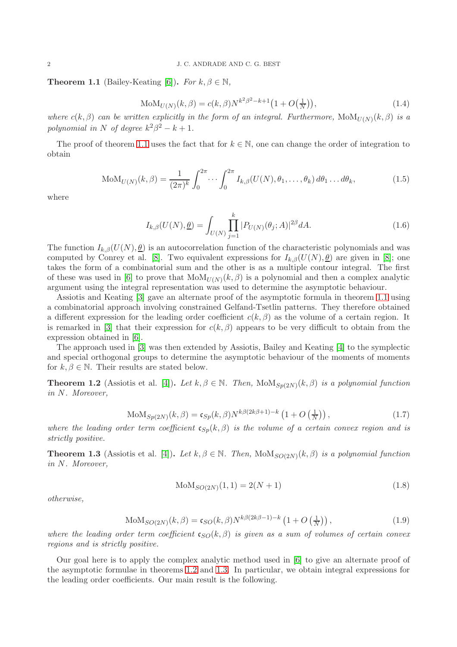<span id="page-1-0"></span>**Theorem 1.1** (Bailey-Keating [\[6\]](#page-16-3)). For  $k, \beta \in \mathbb{N}$ ,

<span id="page-1-3"></span>
$$
MoM_{U(N)}(k, \beta) = c(k, \beta)N^{k^{2}\beta^{2}-k+1}\left(1 + O\left(\frac{1}{N}\right)\right),
$$
\n(1.4)

where  $c(k, \beta)$  can be written explicitly in the form of an integral. Furthermore,  $\text{MoM}_{U(N)}(k, \beta)$  is a polynomial in N of degree  $k^2\beta^2 - k + 1$ .

The proof of theorem [1.1](#page-1-0) uses the fact that for  $k \in \mathbb{N}$ , one can change the order of integration to obtain

$$
\text{MoM}_{U(N)}(k,\beta) = \frac{1}{(2\pi)^k} \int_0^{2\pi} \cdots \int_0^{2\pi} I_{k,\beta}(U(N),\theta_1,\ldots,\theta_k) d\theta_1 \ldots d\theta_k, \tag{1.5}
$$

where

$$
I_{k,\beta}(U(N),\underline{\theta}) = \int_{U(N)} \prod_{j=1}^{k} |P_{U(N)}(\theta_j;A)|^{2\beta} dA.
$$
 (1.6)

The function  $I_{k,\beta}(U(N),\underline{\theta})$  is an autocorrelation function of the characteristic polynomials and was computed by Conrey et al. [\[8\]](#page-16-4). Two equivalent expressions for  $I_{k,\beta}(U(N),\theta)$  are given in [8]; one takes the form of a combinatorial sum and the other is as a multiple contour integral. The first of these was used in [\[6\]](#page-16-3) to prove that  $\text{MoM}_{U(N)}(k, \beta)$  is a polynomial and then a complex analytic argument using the integral representation was used to determine the asymptotic behaviour.

Assiotis and Keating [\[3\]](#page-16-5) gave an alternate proof of the asymptotic formula in theorem [1.1](#page-1-0) using a combinatorial approach involving constrained Gelfand-Tsetlin patterns. They therefore obtained a different expression for the leading order coefficient  $c(k, \beta)$  as the volume of a certain region. It is remarked in [\[3\]](#page-16-5) that their expression for  $c(k, \beta)$  appears to be very difficult to obtain from the expression obtained in [\[6\]](#page-16-3).

The approach used in [\[3\]](#page-16-5) was then extended by Assiotis, Bailey and Keating [\[4\]](#page-16-6) to the symplectic and special orthogonal groups to determine the asymptotic behaviour of the moments of moments for  $k, \beta \in \mathbb{N}$ . Their results are stated below.

<span id="page-1-1"></span>**Theorem 1.2** (Assiotis et al. [\[4\]](#page-16-6)). Let  $k, \beta \in \mathbb{N}$ . Then,  $\text{MoM}_{Sp(2N)}(k, \beta)$  is a polynomial function in N. Moreover,

<span id="page-1-4"></span>
$$
\text{MoM}_{Sp(2N)}(k,\beta) = \mathfrak{c}_{Sp}(k,\beta) N^{k\beta(2k\beta+1)-k} \left(1 + O\left(\frac{1}{N}\right)\right),\tag{1.7}
$$

where the leading order term coefficient  $c_{Sp}(k, \beta)$  is the volume of a certain convex region and is strictly positive.

<span id="page-1-2"></span>**Theorem 1.3** (Assiotis et al. [\[4\]](#page-16-6)). Let  $k, \beta \in \mathbb{N}$ . Then,  $\text{MoM}_{SO(2N)}(k, \beta)$  is a polynomial function in N. Moreover,

$$
MoM_{SO(2N)}(1,1) = 2(N+1)
$$
\n(1.8)

otherwise,

<span id="page-1-5"></span>
$$
MoM_{SO(2N)}(k, \beta) = \mathfrak{c}_{SO}(k, \beta)N^{k\beta(2k\beta - 1) - k}\left(1 + O\left(\frac{1}{N}\right)\right),\tag{1.9}
$$

where the leading order term coefficient  $\mathfrak{c}_{SO}(k, \beta)$  is given as a sum of volumes of certain convex regions and is strictly positive.

Our goal here is to apply the complex analytic method used in [\[6\]](#page-16-3) to give an alternate proof of the asymptotic formulae in theorems [1.2](#page-1-1) and [1.3.](#page-1-2) In particular, we obtain integral expressions for the leading order coefficients. Our main result is the following.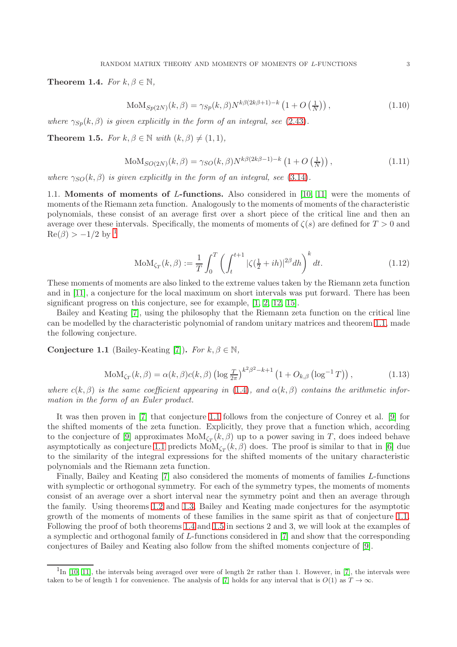<span id="page-2-2"></span>Theorem 1.4. For  $k, \beta \in \mathbb{N}$ ,

$$
\text{MoM}_{Sp(2N)}(k,\beta) = \gamma_{Sp}(k,\beta) N^{k\beta(2k\beta+1)-k} \left(1 + O\left(\frac{1}{N}\right)\right),\tag{1.10}
$$

where  $\gamma_{Sp}(k,\beta)$  is given explicitly in the form of an integral, see [\(2.43\)](#page-10-0).

<span id="page-2-3"></span>**Theorem 1.5.** For  $k, \beta \in \mathbb{N}$  with  $(k, \beta) \neq (1, 1),$ 

$$
\text{MoM}_{SO(2N)}(k,\beta) = \gamma_{SO}(k,\beta)N^{k\beta(2k\beta-1)-k}\left(1+O\left(\frac{1}{N}\right)\right),\tag{1.11}
$$

where  $\gamma_{SO}(k, \beta)$  is given explicitly in the form of an integral, see [\(3.14\)](#page-13-0).

1.1. Moments of moments of L-functions. Also considered in [\[10,](#page-16-0) [11\]](#page-16-1) were the moments of moments of the Riemann zeta function. Analogously to the moments of moments of the characteristic polynomials, these consist of an average first over a short piece of the critical line and then an average over these intervals. Specifically, the moments of moments of  $\zeta(s)$  are defined for  $T > 0$  and  $\text{Re}(\beta) > -1/2$  $\text{Re}(\beta) > -1/2$  $\text{Re}(\beta) > -1/2$  by <sup>1</sup>

$$
MoM_{\zeta_T}(k,\beta) := \frac{1}{T} \int_0^T \left( \int_t^{t+1} |\zeta(\frac{1}{2} + ih)|^{2\beta} dh \right)^k dt.
$$
 (1.12)

These moments of moments are also linked to the extreme values taken by the Riemann zeta function and in [\[11\]](#page-16-1), a conjecture for the local maximum on short intervals was put forward. There has been significant progress on this conjecture, see for example, [\[1,](#page-16-7) [2,](#page-16-8) [12,](#page-16-9) [15\]](#page-16-10).

Bailey and Keating [\[7\]](#page-16-11), using the philosophy that the Riemann zeta function on the critical line can be modelled by the characteristic polynomial of random unitary matrices and theorem [1.1,](#page-1-0) made the following conjecture.

<span id="page-2-1"></span>Conjecture 1.1 (Bailey-Keating [\[7\]](#page-16-11)). For  $k, \beta \in \mathbb{N}$ ,

$$
MoM_{\zeta_T}(k,\beta) = \alpha(k,\beta)c(k,\beta)\left(\log\frac{T}{2\pi}\right)^{k^2\beta^2 - k + 1}\left(1 + O_{k,\beta}\left(\log^{-1}T\right)\right),\tag{1.13}
$$

where  $c(k, \beta)$  is the same coefficient appearing in [\(1.4\)](#page-1-3), and  $\alpha(k, \beta)$  contains the arithmetic information in the form of an Euler product.

It was then proven in [\[7\]](#page-16-11) that conjecture [1.1](#page-2-1) follows from the conjecture of Conrey et al. [\[9\]](#page-16-12) for the shifted moments of the zeta function. Explicitly, they prove that a function which, according to the conjecture of [\[9\]](#page-16-12) approximates  $\text{MoM}_{\zeta_T}(k,\beta)$  up to a power saving in T, does indeed behave asymptotically as conjecture [1.1](#page-2-1) predicts  $\text{MoM}_{\zeta_T}(k,\beta)$  does. The proof is similar to that in [\[6\]](#page-16-3) due to the similarity of the integral expressions for the shifted moments of the unitary characteristic polynomials and the Riemann zeta function.

Finally, Bailey and Keating [\[7\]](#page-16-11) also considered the moments of moments of families L-functions with symplectic or orthogonal symmetry. For each of the symmetry types, the moments of moments consist of an average over a short interval near the symmetry point and then an average through the family. Using theorems [1.2](#page-1-1) and [1.3,](#page-1-2) Bailey and Keating made conjectures for the asymptotic growth of the moments of moments of these families in the same spirit as that of conjecture [1.1.](#page-2-1) Following the proof of both theorems [1.4](#page-2-2) and [1.5](#page-2-3) in sections 2 and 3, we will look at the examples of a symplectic and orthogonal family of L-functions considered in [\[7\]](#page-16-11) and show that the corresponding conjectures of Bailey and Keating also follow from the shifted moments conjecture of [\[9\]](#page-16-12).

<span id="page-2-0"></span><sup>&</sup>lt;sup>1</sup>In [\[10,](#page-16-0) [11\]](#page-16-1), the intervals being averaged over were of length  $2\pi$  rather than 1. However, in [\[7\]](#page-16-11), the intervals were taken to be of length 1 for convenience. The analysis of [\[7\]](#page-16-11) holds for any interval that is  $O(1)$  as  $T \to \infty$ .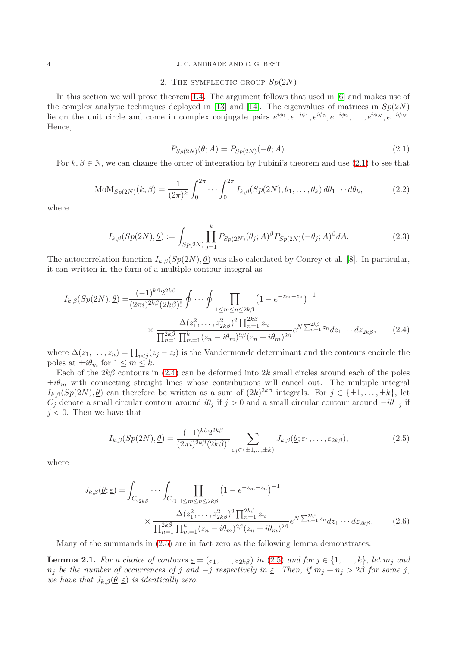### 4 J. C. ANDRADE AND C. G. BEST

## 2. THE SYMPLECTIC GROUP  $Sp(2N)$

In this section we will prove theorem [1.4.](#page-2-2) The argument follows that used in [\[6\]](#page-16-3) and makes use of the complex analytic techniques deployed in [\[13\]](#page-16-13) and [\[14\]](#page-16-14). The eigenvalues of matrices in  $Sp(2N)$ lie on the unit circle and come in complex conjugate pairs  $e^{i\phi_1}, e^{-i\phi_1}, e^{i\phi_2}, e^{-i\phi_2}, \ldots, e^{i\phi_N}, e^{-i\phi_N}$ . Hence,

<span id="page-3-1"></span><span id="page-3-0"></span>
$$
\overline{P_{Sp(2N)}(\theta;A)} = P_{Sp(2N)}(-\theta;A). \tag{2.1}
$$

For  $k, \beta \in \mathbb{N}$ , we can change the order of integration by Fubini's theorem and use [\(2.1\)](#page-3-0) to see that

$$
\text{MoM}_{Sp(2N)}(k,\beta) = \frac{1}{(2\pi)^k} \int_0^{2\pi} \cdots \int_0^{2\pi} I_{k,\beta}(Sp(2N),\theta_1,\ldots,\theta_k) d\theta_1 \cdots d\theta_k, \tag{2.2}
$$

where

$$
I_{k,\beta}(Sp(2N),\underline{\theta}) := \int_{Sp(2N)} \prod_{j=1}^k P_{Sp(2N)}(\theta_j;A)^{\beta} P_{Sp(2N)}(-\theta_j;A)^{\beta} dA.
$$
 (2.3)

The autocorrelation function  $I_{k,\beta}(Sp(2N), \underline{\theta})$  was also calculated by Conrey et al. [\[8\]](#page-16-4). In particular, it can written in the form of a multiple contour integral as

$$
I_{k,\beta}(Sp(2N),\underline{\theta}) = \frac{(-1)^{k\beta} 2^{2k\beta}}{(2\pi i)^{2k\beta} (2k\beta)!} \oint \cdots \oint \prod_{1 \le m \le n \le 2k\beta} \left(1 - e^{-z_m - z_n}\right)^{-1} \times \frac{\Delta(z_1^2, \dots, z_{2k\beta}^2)^2 \prod_{n=1}^{2k\beta} z_n}{\prod_{n=1}^{2k\beta} \prod_{m=1}^k (z_n - i\theta_m)^{2\beta} (z_n + i\theta_m)^{2\beta}} e^{N \sum_{n=1}^{2k\beta} z_n} dz_1 \cdots dz_{2k\beta}, \tag{2.4}
$$

where  $\Delta(z_1, \ldots, z_n) = \prod_{i < j} (z_j - z_i)$  is the Vandermonde determinant and the contours encircle the poles at  $\pm i\theta_m$  for  $1 \leq m \leq k$ .

Each of the  $2k\beta$  contours in [\(2.4\)](#page-3-1) can be deformed into  $2k$  small circles around each of the poles  $\pm i\theta_m$  with connecting straight lines whose contributions will cancel out. The multiple integral  $I_{k,\beta}(Sp(2N),\underline{\theta})$  can therefore be written as a sum of  $(2k)^{2k\beta}$  integrals. For  $j \in \{\pm 1,\ldots,\pm k\}$ , let  $C_j$  denote a small circular contour around  $i\theta_j$  if  $j > 0$  and a small circular contour around  $-i\theta_{-j}$  if  $j < 0$ . Then we have that

<span id="page-3-2"></span>
$$
I_{k,\beta}(Sp(2N),\underline{\theta}) = \frac{(-1)^{k\beta}2^{2k\beta}}{(2\pi i)^{2k\beta}(2k\beta)!} \sum_{\varepsilon_j \in \{\pm 1,\dots,\pm k\}} J_{k,\beta}(\underline{\theta};\varepsilon_1,\dots,\varepsilon_{2k\beta}),\tag{2.5}
$$

where

$$
J_{k,\beta}(\underline{\theta};\underline{\varepsilon}) = \int_{C_{\varepsilon_{2k\beta}}} \cdots \int_{C_{\varepsilon_1}} \prod_{1 \le m \le n \le 2k\beta} \left(1 - e^{-z_m - z_n}\right)^{-1}
$$

$$
\times \frac{\Delta(z_1^2,\ldots,z_{2k\beta}^2)^2 \prod_{n=1}^{2k\beta} z_n}{\prod_{n=1}^{2k\beta} \prod_{m=1}^k (z_n - i\theta_m)^{2\beta} (z_n + i\theta_m)^{2\beta}} e^{N \sum_{n=1}^{2k\beta} z_n} dz_1 \cdots dz_{2k\beta}.
$$
(2.6)

Many of the summands in [\(2.5\)](#page-3-2) are in fact zero as the following lemma demonstrates.

<span id="page-3-3"></span>**Lemma 2.1.** For a choice of contours  $\underline{\varepsilon} = (\varepsilon_1, \ldots, \varepsilon_{2k\beta})$  in [\(2.5\)](#page-3-2) and for  $j \in \{1, \ldots, k\}$ , let  $m_j$  and  $n_j$  be the number of occurrences of j and  $-j$  respectively in  $\underline{\varepsilon}$ . Then, if  $m_j + n_j > 2\beta$  for some j, we have that  $J_{k,\beta}(\underline{\theta};\underline{\varepsilon})$  is identically zero.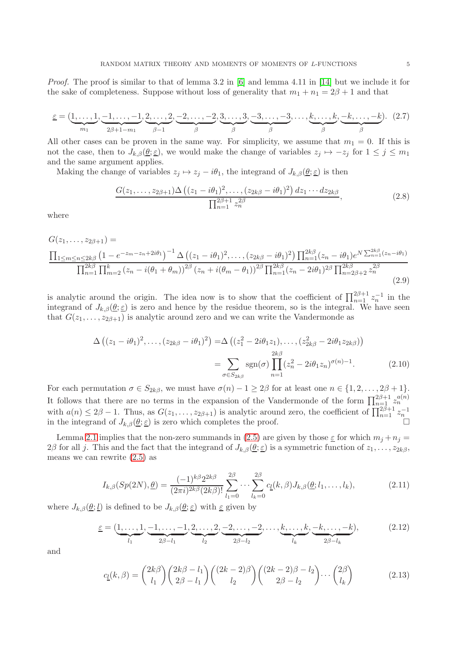Proof. The proof is similar to that of lemma 3.2 in [\[6\]](#page-16-3) and lemma 4.11 in [\[14\]](#page-16-14) but we include it for the sake of completeness. Suppose without loss of generality that  $m_1 + n_1 = 2\beta + 1$  and that

$$
\underline{\varepsilon} = (\underbrace{1,\ldots,1}_{m_1},\underbrace{-1,\ldots,-1}_{2\beta+1-m_1},\underbrace{2,\ldots,2}_{\beta-1},\underbrace{-2,\ldots,-2}_{\beta},\underbrace{3,\ldots,3}_{\beta},\underbrace{-3,\ldots,-3}_{\beta},\ldots,\underbrace{k,\ldots,k}_{\beta},\underbrace{-k,\ldots,-k}_{\beta}). \tag{2.7}
$$

All other cases can be proven in the same way. For simplicity, we assume that  $m_1 = 0$ . If this is not the case, then to  $J_{k,\beta}(\underline{\theta};\underline{\varepsilon})$ , we would make the change of variables  $z_j \mapsto -z_j$  for  $1 \leq j \leq m_1$ and the same argument applies.

Making the change of variables  $z_j \mapsto z_j - i\theta_1$ , the integrand of  $J_{k,\beta}(\underline{\theta};\underline{\varepsilon})$  is then

$$
\frac{G(z_1,\ldots,z_{2\beta+1})\Delta((z_1-i\theta_1)^2,\ldots,(z_{2k\beta}-i\theta_1)^2) dz_1\cdots dz_{2k\beta}}{\prod_{n=1}^{2\beta+1} z_n^{2\beta}},
$$
\n(2.8)

where

$$
G(z_1,...,z_{2\beta+1}) = \frac{\prod_{1 \le m \le n \le 2k\beta} \left(1 - e^{-z_m - z_n + 2i\theta_1}\right)^{-1} \Delta \left((z_1 - i\theta_1)^2, \dots, (z_{2k\beta} - i\theta_1)^2\right) \prod_{n=1}^{2k\beta} (z_n - i\theta_1) e^{N \sum_{n=1}^{2k\beta} (z_n - i\theta_1)} \prod_{n=1}^{2k\beta} \prod_{m=2}^k (z_n - i(\theta_1 + \theta_m))^{2\beta} (z_n + i(\theta_m - \theta_1))^{2\beta} \prod_{n=1}^{2k\beta} (z_n - 2i\theta_1)^{2\beta} \prod_{n=2\beta+2}^{2k\beta} z_n^{2\beta}} (2.9)
$$

is analytic around the origin. The idea now is to show that the coefficient of  $\prod_{n=1}^{2\beta+1} z_n^{-1}$  in the integrand of  $J_{k,\beta}(\underline{\theta};\underline{\varepsilon})$  is zero and hence by the residue theorem, so is the integral. We have seen that  $G(z_1, \ldots, z_{2\beta+1})$  is analytic around zero and we can write the Vandermonde as

$$
\Delta ((z_1 - i\theta_1)^2, \dots, (z_{2k\beta} - i\theta_1)^2) = \Delta ((z_1^2 - 2i\theta_1 z_1), \dots, (z_{2k\beta}^2 - 2i\theta_1 z_{2k\beta}))
$$
  
= 
$$
\sum_{\sigma \in S_{2k\beta}} \text{sgn}(\sigma) \prod_{n=1}^{2k\beta} (z_n^2 - 2i\theta_1 z_n)^{\sigma(n)-1}.
$$
 (2.10)

For each permutation  $\sigma \in S_{2k\beta}$ , we must have  $\sigma(n) - 1 \geq 2\beta$  for at least one  $n \in \{1, 2, ..., 2\beta + 1\}$ . It follows that there are no terms in the expansion of the Vandermonde of the form  $\prod_{n=1}^{2\beta+1} z_n^{a(n)}$ with  $a(n) \leq 2\beta - 1$ . Thus, as  $G(z_1, \ldots, z_{2\beta+1})$  is analytic around zero, the coefficient of  $\prod_{n=1}^{2\beta+1} z_n^{-1}$  in the integrand of  $J_{k,\beta}(\underline{\theta}; \underline{\varepsilon})$  is zero which completes the proof.

Lemma [2.1](#page-3-3) implies that the non-zero summands in [\(2.5\)](#page-3-2) are given by those  $\underline{\varepsilon}$  for which  $m_j + n_j =$ 2β for all j. This and the fact that the integrand of  $J_{k,\beta}(\underline{\theta}; \underline{\varepsilon})$  is a symmetric function of  $z_1, \ldots, z_{2k\beta}$ , means we can rewrite [\(2.5\)](#page-3-2) as

<span id="page-4-0"></span>
$$
I_{k,\beta}(Sp(2N),\underline{\theta}) = \frac{(-1)^{k\beta} 2^{2k\beta}}{(2\pi i)^{2k\beta} (2k\beta)!} \sum_{l_1=0}^{2\beta} \cdots \sum_{l_k=0}^{2\beta} c_{\underline{l}}(k,\beta) J_{k,\beta}(\underline{\theta};l_1,\ldots,l_k),
$$
(2.11)

where  $J_{k,\beta}(\underline{\theta};\underline{l})$  is defined to be  $J_{k,\beta}(\underline{\theta};\underline{\varepsilon})$  with  $\underline{\varepsilon}$  given by

$$
\underline{\varepsilon} = (\underbrace{1, \dots, 1}_{l_1}, \underbrace{-1, \dots, -1}_{2\beta - l_1}, \underbrace{2, \dots, 2}_{l_2}, \underbrace{-2, \dots, -2}_{2\beta - l_2}, \dots, \underbrace{k, \dots, k}_{l_k}, \underbrace{-k, \dots, -k}_{2\beta - l_k}),
$$
(2.12)

and

$$
c_{\underline{l}}(k,\beta) = \binom{2k\beta}{l_1} \binom{2k\beta - l_1}{2\beta - l_1} \binom{(2k-2)\beta}{l_2} \binom{(2k-2)\beta - l_2}{2\beta - l_2} \cdots \binom{2\beta}{l_k} \tag{2.13}
$$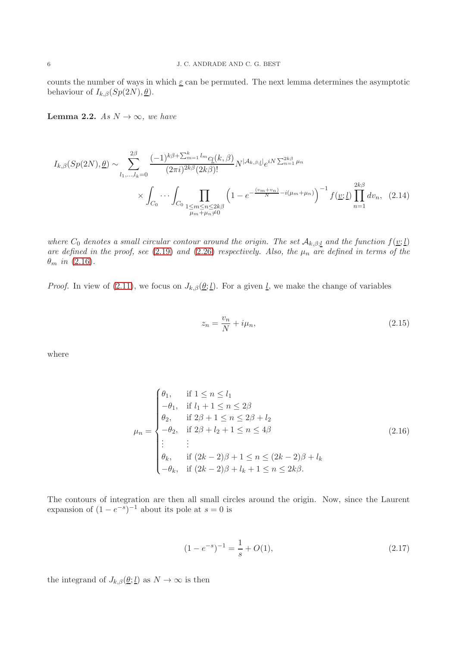counts the number of ways in which  $\underline{\varepsilon}$  can be permuted. The next lemma determines the asymptotic behaviour of  $I_{k,\beta}(Sp(2N), \underline{\theta})$ .

<span id="page-5-1"></span>**Lemma 2.2.** As  $N \to \infty$ , we have

$$
I_{k,\beta}(Sp(2N),\underline{\theta}) \sim \sum_{l_1,\dots,l_k=0}^{2\beta} \frac{(-1)^{k\beta + \sum_{m=1}^k l_m} c_l(k,\beta)}{(2\pi i)^{2k\beta} (2k\beta)!} N^{|\mathcal{A}_{k,\beta;\underline{l}}|} e^{iN \sum_{n=1}^{2k\beta} \mu_n}
$$

$$
\times \int_{C_0} \cdots \int_{C_0} \prod_{\substack{1 \le m \le n \le 2k\beta \\ \mu_m + \mu_n \ne 0}} \left(1 - e^{-\frac{(v_m + v_n)}{N} - i(\mu_m + \mu_n)}\right)^{-1} f(\underline{v}; \underline{l}) \prod_{n=1}^{2k\beta} dv_n, (2.14)
$$

where  $C_0$  denotes a small circular contour around the origin. The set  $\mathcal{A}_{k,\beta;l}$  and the function  $f(\underline{v};\underline{l})$ are defined in the proof, see [\(2.19\)](#page-6-0) and [\(2.26\)](#page-7-0) respectively. Also, the  $\mu_n$  are defined in terms of the  $\theta_m$  in [\(2.16\)](#page-5-0).

*Proof.* In view of [\(2.11\)](#page-4-0), we focus on  $J_{k,\beta}(\underline{\theta}; \underline{l})$ . For a given <u>l</u>, we make the change of variables

<span id="page-5-0"></span>
$$
z_n = \frac{v_n}{N} + i\mu_n,\tag{2.15}
$$

where

$$
\mu_n = \begin{cases}\n\theta_1, & \text{if } 1 \le n \le l_1 \\
-\theta_1, & \text{if } l_1 + 1 \le n \le 2\beta \\
\theta_2, & \text{if } 2\beta + 1 \le n \le 2\beta + l_2 \\
-\theta_2, & \text{if } 2\beta + l_2 + 1 \le n \le 4\beta \\
\vdots & \vdots \\
\theta_k, & \text{if } (2k - 2)\beta + 1 \le n \le (2k - 2)\beta + l_k \\
-\theta_k, & \text{if } (2k - 2)\beta + l_k + 1 \le n \le 2k\beta.\n\end{cases}
$$
\n(2.16)

The contours of integration are then all small circles around the origin. Now, since the Laurent expansion of  $(1-e^{-s})^{-1}$  about its pole at  $s=0$  is

$$
(1 - e^{-s})^{-1} = \frac{1}{s} + O(1),\tag{2.17}
$$

the integrand of  $J_{k,\beta}(\underline{\theta};\underline{l})$  as  $N \to \infty$  is then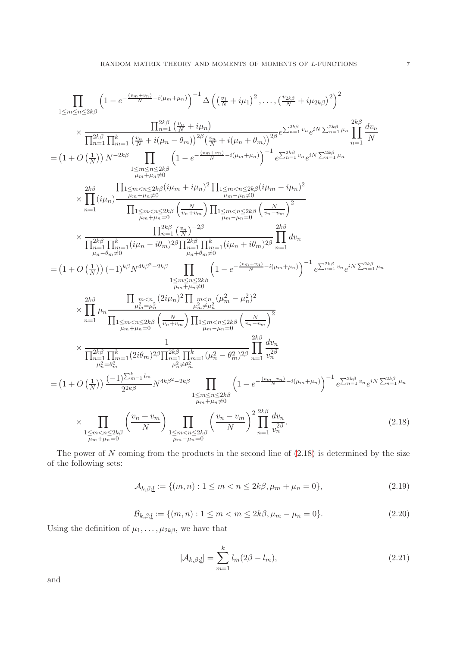$$
\prod_{1 \leq m \leq n \leq 2k\beta} \left(1 - e^{-\frac{(c_m + w_n)}{N} - i(\mu + \mu_n)}\right)^{-1} \Delta \left( \left(\frac{v_1}{N} + i\mu_1\right)^2, \dots, \left(\frac{v_{2k}\beta}{N} + i\mu_{2k\beta}\right)^2 \right)^2
$$
\n
$$
\times \frac{\prod_{n=1}^{2k\beta} \left(\frac{v_n}{N} + i\mu_n\right)}{\prod_{n=1}^{2k\beta} \prod_{n=1}^{k} \left(\frac{v_n}{N} + i(\mu_n - \theta_m)\right)^{2\beta} \left(\frac{v_n}{N} + i(\mu_n + \theta_m)\right)^{2\beta}} e^{\sum_{n=1}^{2k\beta} v_n} e^{iN \sum_{n=1}^{2k\beta} \mu_n} \prod_{n=1}^{2k\beta} \frac{dv_n}{N}
$$
\n
$$
= \left(1 + O\left(\frac{1}{N}\right)\right) N^{-2k\beta} \prod_{1 \leq m \leq n \leq 2k\beta} \left(1 - e^{-\frac{(v_m + v_n)}{N} - i(\mu_m + \mu_n)}\right)^{-1} e^{\sum_{n=1}^{2k\beta} v_n} e^{iN \sum_{n=1}^{2k\beta} \mu_n} \frac{2k\beta}{\mu_n} \prod_{n=1}^{2k} \frac{dv_n}{m + \mu_n} \right)^{2\beta}
$$
\n
$$
\times \prod_{n=1}^{2k\beta} \prod_{n=1}^{k} (i\mu_n) \frac{\prod_{n=1}^{2k} \left(\frac{v_n}{N} + i\mu_n\right)^2 \prod_{n=1}^{2k} \left(\frac{v_n}{v_n - v_m}\right)^2}{\prod_{n=1}^{2k} \left(\frac{v_n}{v_n + v_m}\right)^{2\beta}}}{\prod_{n=1}^{2k\beta} \prod_{n=1}^{2k} (i\mu_n - i\mu_n)^{2\beta}} e^{\sum_{n=1}^{2k\beta} \left(\frac{v_n}{v_n - v_m}\right)^2} \prod_{n=1}^{2k\beta} dv_n}
$$
\n
$$
= \left(1 + O\left(\frac{1}{N}\right)\right) (-1)^{k\beta} N^{4k\beta^2 - 2k\beta} \prod_{1 \leq m \leq n \leq
$$

The power of  $N$  coming from the products in the second line of  $(2.18)$  is determined by the size of the following sets:

<span id="page-6-0"></span>
$$
\mathcal{A}_{k,\beta;\underline{l}} := \{ (m,n) : 1 \le m < n \le 2k\beta, \mu_m + \mu_n = 0 \},\tag{2.19}
$$

$$
\mathcal{B}_{k,\beta;\underline{l}} := \{(m,n) : 1 \le m < m \le 2k\beta, \mu_m - \mu_n = 0\}.\tag{2.20}
$$

Using the definition of  $\mu_1, \ldots, \mu_{2k\beta}$ , we have that

<span id="page-6-1"></span>
$$
|\mathcal{A}_{k,\beta;\underline{l}}| = \sum_{m=1}^{k} l_m (2\beta - l_m),
$$
\n(2.21)

and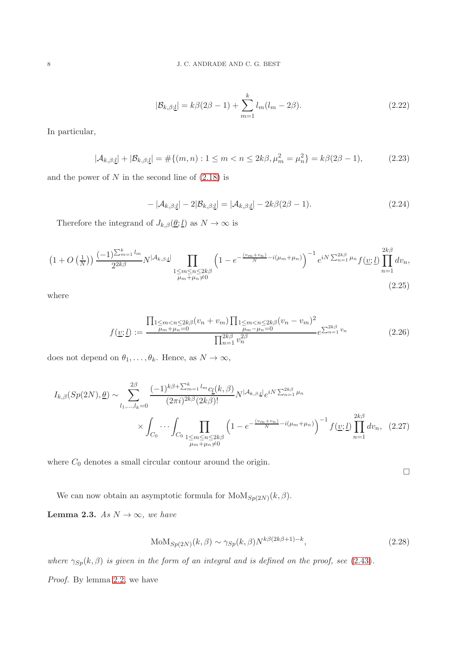$$
|\mathcal{B}_{k,\beta;\underline{l}}| = k\beta(2\beta - 1) + \sum_{m=1}^{k} l_m(l_m - 2\beta).
$$
 (2.22)

In particular,

$$
|\mathcal{A}_{k,\beta;\underline{l}}| + |\mathcal{B}_{k,\beta;\underline{l}}| = \#\{(m,n) : 1 \le m < n \le 2k\beta, \mu_m^2 = \mu_n^2\} = k\beta(2\beta - 1),\tag{2.23}
$$

and the power of  $N$  in the second line of  $(2.18)$  is

$$
-|\mathcal{A}_{k,\beta;\underline{l}}| - 2|\mathcal{B}_{k,\beta;\underline{l}}| = |\mathcal{A}_{k,\beta;\underline{l}}| - 2k\beta(2\beta - 1). \tag{2.24}
$$

Therefore the integrand of  $J_{k,\beta}(\underline{\theta};\underline{l})$  as  $N\to\infty$  is

$$
(1+O(\frac{1}{N})) \frac{(-1)^{\sum_{m=1}^{k} l_m}}{2^{2k\beta}} N^{|\mathcal{A}_{k,\beta;\underline{l}}|} \prod_{\substack{1 \le m \le n \le 2k\beta \\ \mu_m + \mu_n \neq 0}} \left(1 - e^{-\frac{(v_m + v_n)}{N} - i(\mu_m + \mu_n)}\right)^{-1} e^{iN \sum_{n=1}^{2k\beta} \mu_n} f(\underline{v}; \underline{l}) \prod_{n=1}^{2k\beta} dv_n,
$$
\n(2.25)

where

<span id="page-7-0"></span>
$$
f(\underline{v}; \underline{l}) := \frac{\prod_{\substack{1 \le m < n \le 2k \beta \\ \mu_m + \mu_n = 0}} (v_n + v_m) \prod_{\substack{1 \le m < n \le 2k \beta \\ \mu_m - \mu_n = 0}} (v_n - v_m)^2}{\prod_{n=1}^{2k\beta} v_n^{2\beta}} e^{\sum_{n=1}^{2k\beta} v_n}
$$
\n(2.26)

does not depend on  $\theta_1, \ldots, \theta_k$ . Hence, as  $N \to \infty$ ,

$$
I_{k,\beta}(Sp(2N),\underline{\theta}) \sim \sum_{l_1,\dots,l_k=0}^{2\beta} \frac{(-1)^{k\beta + \sum_{m=1}^k l_m} c_{\underline{l}}(k,\beta)}{(2\pi i)^{2k\beta} (2k\beta)!} N^{|\mathcal{A}_{k,\beta;\underline{l}}|} e^{iN \sum_{n=1}^{2k\beta} \mu_n} \times \int_{C_0} \cdots \int_{C_0} \prod_{\substack{1 \le m \le n \le 2k\beta \\ \mu_m + \mu_n \neq 0}} \left(1 - e^{-\frac{(v_m + v_n)}{N} - i(\mu_m + \mu_n)}\right)^{-1} f(\underline{v};\underline{l}) \prod_{n=1}^{2k\beta} dv_n, (2.27)
$$

where  $C_0$  denotes a small circular contour around the origin.

 $\Box$ 

We can now obtain an asymptotic formula for  $\text{MoM}_{Sp(2N)}(k, \beta)$ .

<span id="page-7-1"></span>**Lemma 2.3.** As  $N \to \infty$ , we have

$$
MoM_{Sp(2N)}(k, \beta) \sim \gamma_{Sp}(k, \beta)N^{k\beta(2k\beta+1)-k},\tag{2.28}
$$

where  $\gamma_{Sp}(k, \beta)$  is given in the form of an integral and is defined on the proof, see [\(2.43\)](#page-10-0).

Proof. By lemma [2.2,](#page-5-1) we have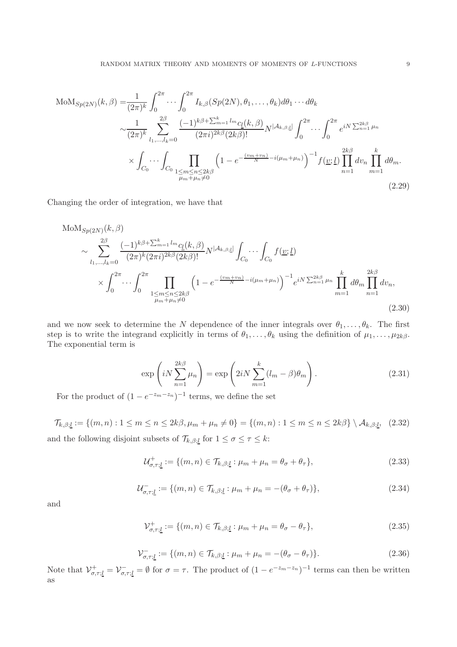$$
\text{MoM}_{Sp(2N)}(k,\beta) = \frac{1}{(2\pi)^k} \int_0^{2\pi} \cdots \int_0^{2\pi} I_{k,\beta}(Sp(2N), \theta_1, \dots, \theta_k) d\theta_1 \cdots d\theta_k
$$
\n
$$
\sim \frac{1}{(2\pi)^k} \sum_{l_1, \dots, l_k=0}^{2\beta} \frac{(-1)^{k\beta + \sum_{m=1}^k l_m} c_l(k,\beta)}{(2\pi i)^{2k\beta} (2k\beta)!} N^{|\mathcal{A}_{k,\beta; \mathcal{L}}|} \int_0^{2\pi} \cdots \int_0^{2\pi} e^{iN \sum_{n=1}^{2k\beta} \mu_n} \times \int_{C_0} \cdots \int_{C_0} \prod_{\substack{1 \le m \le n \le 2k\beta \\ \mu_m + \mu_n \neq 0}} \left(1 - e^{-\frac{(v_m + v_n)}{N} - i(\mu_m + \mu_n)}\right)^{-1} f(\underline{v}; \underline{l}) \prod_{n=1}^{2k\beta} dv_n \prod_{m=1}^k d\theta_m.
$$
\n(2.29)

Changing the order of integration, we have that

$$
\text{MoM}_{Sp(2N)}(k, \beta)
$$
\n
$$
\sim \sum_{l_1, \dots, l_k=0}^{2\beta} \frac{(-1)^{k\beta + \sum_{m=1}^k l_m} c_l(k, \beta)}{(2\pi)^k (2\pi i)^{2k\beta} (2k\beta)!} N^{|\mathcal{A}_{k,\beta;\underline{l}}|} \int_{C_0} \dots \int_{C_0} f(\underline{v}; \underline{l})
$$
\n
$$
\times \int_0^{2\pi} \dots \int_0^{2\pi} \prod_{\substack{1 \le m \le n \le 2k\beta \\ \mu_m + \mu_n \neq 0}} \left(1 - e^{-\frac{(v_m + v_n)}{N} - i(\mu_m + \mu_n)}\right)^{-1} e^{iN \sum_{n=1}^{2k\beta} \mu_n} \prod_{m=1}^k d\theta_m \prod_{n=1}^{2k\beta} dv_n,
$$
\n(2.30)

and we now seek to determine the N dependence of the inner integrals over  $\theta_1, \ldots, \theta_k$ . The first step is to write the integrand explicitly in terms of  $\theta_1, \ldots, \theta_k$  using the definition of  $\mu_1, \ldots, \mu_{2k\beta}$ . The exponential term is

<span id="page-8-0"></span>
$$
\exp\left(iN\sum_{n=1}^{2k\beta}\mu_n\right) = \exp\left(2iN\sum_{m=1}^k(l_m-\beta)\theta_m\right).
$$
\n(2.31)

For the product of  $(1 - e^{-z_m - z_n})^{-1}$  terms, we define the set

$$
\mathcal{T}_{k,\beta;\underline{l}} := \{(m,n) : 1 \le m \le n \le 2k\beta, \mu_m + \mu_n \neq 0\} = \{(m,n) : 1 \le m \le n \le 2k\beta\} \setminus \mathcal{A}_{k,\beta;\underline{l}}, \tag{2.32}
$$

and the following disjoint subsets of  $\mathcal{T}_{k,\beta;\underline{l}}$  for  $1 \leq \sigma \leq \tau \leq k$ :

$$
\mathcal{U}_{\sigma,\tau;\underline{l}}^+ := \{(m,n) \in \mathcal{T}_{k,\beta;\underline{l}} : \mu_m + \mu_n = \theta_\sigma + \theta_\tau\},\tag{2.33}
$$

$$
\mathcal{U}_{\sigma,\tau;\underline{l}}^- := \{ (m,n) \in \mathcal{T}_{k,\beta;\underline{l}} : \mu_m + \mu_n = -(\theta_\sigma + \theta_\tau) \},\tag{2.34}
$$

and

$$
\mathcal{V}_{\sigma,\tau;\underline{l}}^+ := \{ (m,n) \in \mathcal{T}_{k,\beta;\underline{l}} : \mu_m + \mu_n = \theta_\sigma - \theta_\tau \},\tag{2.35}
$$

$$
\mathcal{V}_{\sigma,\tau;\underline{l}}^- := \{ (m,n) \in \mathcal{T}_{k,\beta;\underline{l}} : \mu_m + \mu_n = -(\theta_\sigma - \theta_\tau) \}. \tag{2.36}
$$

Note that  $\mathcal{V}_{\sigma,\tau;\underline{l}}^+ = \mathcal{V}_{\sigma,\tau;\underline{l}}^- = \emptyset$  for  $\sigma = \tau$ . The product of  $(1 - e^{-z_m - z_n})^{-1}$  terms can then be written as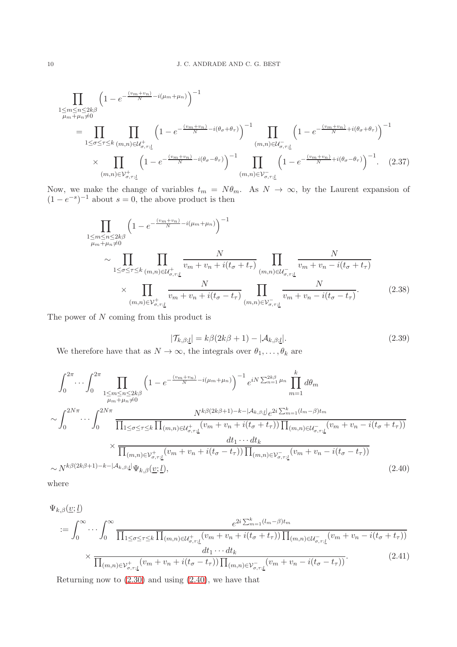$$
\prod_{\substack{1 \le m \le n \le 2k\beta \\ \mu_m + \mu_n \neq 0}} \left( 1 - e^{-\frac{(v_m + v_n)}{N} - i(\mu_m + \mu_n)} \right)^{-1}
$$
\n
$$
= \prod_{1 \le \sigma \le \tau \le k} \prod_{(m,n) \in \mathcal{U}_{\sigma,\tau;\underline{l}}} \left( 1 - e^{-\frac{(v_m + v_n)}{N} - i(\theta_{\sigma} + \theta_{\tau})} \right)^{-1} \prod_{(m,n) \in \mathcal{U}_{\sigma,\tau;\underline{l}}} \left( 1 - e^{-\frac{(v_m + v_n)}{N} + i(\theta_{\sigma} + \theta_{\tau})} \right)^{-1}
$$
\n
$$
\times \prod_{(m,n) \in \mathcal{V}_{\sigma,\tau;\underline{l}}} \left( 1 - e^{-\frac{(v_m + v_n)}{N} - i(\theta_{\sigma} - \theta_{\tau})} \right)^{-1} \prod_{(m,n) \in \mathcal{V}_{\sigma,\tau;\underline{l}}} \left( 1 - e^{-\frac{(v_m + v_n)}{N} + i(\theta_{\sigma} - \theta_{\tau})} \right)^{-1} . \tag{2.37}
$$

Now, we make the change of variables  $t_m = N\theta_m$ . As  $N \to \infty$ , by the Laurent expansion of  $(1 - e^{-s})^{-1}$  about  $s = 0$ , the above product is then

$$
\prod_{\substack{1 \le m \le n \le 2k\beta \\ \mu_m + \mu_n \neq 0}} \left( 1 - e^{-\frac{(v_m + v_n)}{N} - i(\mu_m + \mu_n)} \right)^{-1}
$$
\n
$$
\sim \prod_{1 \le \sigma \le \tau \le k} \prod_{(m,n) \in \mathcal{U}_{\sigma,\tau;\underline{l}}} \frac{N}{v_m + v_n + i(t_\sigma + t_\tau)} \prod_{(m,n) \in \mathcal{U}_{\sigma,\tau;\underline{l}}} \frac{N}{v_m + v_n - i(t_\sigma + t_\tau)}
$$
\n
$$
\times \prod_{(m,n) \in \mathcal{V}_{\sigma,\tau;\underline{l}}} \frac{N}{v_m + v_n + i(t_\sigma - t_\tau)} \prod_{(m,n) \in \mathcal{V}_{\sigma,\tau;\underline{l}}} \frac{N}{v_m + v_n - i(t_\sigma - t_\tau)}.
$$
\n(2.38)

The power of N coming from this product is

<span id="page-9-0"></span>
$$
|\mathcal{T}_{k,\beta;\underline{l}}| = k\beta(2k\beta + 1) - |\mathcal{A}_{k,\beta;\underline{l}}|.
$$
\n(2.39)

We therefore have that as  $N\to\infty,$  the integrals over  $\theta_1,\ldots,\theta_k$  are

$$
\int_{0}^{2\pi} \cdots \int_{0}^{2\pi} \prod_{\substack{1 \le m \le n \le 2k\beta \\ \mu_{m} + \mu_{n} \neq 0}} \left( 1 - e^{-\frac{(v_{m} + v_{n})}{N} - i(\mu_{m} + \mu_{n})} \right)^{-1} e^{iN \sum_{n=1}^{2k\beta} \mu_{n}} \prod_{m=1}^{k} d\theta_{m}
$$
\n
$$
\sim \int_{0}^{2N\pi} \cdots \int_{0}^{2N\pi} \frac{N^{k\beta(2k\beta+1)-k-|\mathcal{A}_{k,\beta; \underline{i}}|} e^{2i \sum_{m=1}^{k} (\mu_{m} - \beta) t_{m}}}{\prod_{1 \le \sigma \le \tau \le k} \prod_{(m,n) \in \mathcal{U}_{\sigma,\tau;\underline{i}}^{+}} (v_{m} + v_{n} + i(t_{\sigma} + t_{\tau})) \prod_{(m,n) \in \mathcal{U}_{\sigma,\tau;\underline{i}}^{-}} (v_{m} + v_{n} - i(t_{\sigma} + t_{\tau}))}
$$
\n
$$
\times \frac{dt_{1} \cdots dt_{k}}{\prod_{(m,n) \in \mathcal{V}_{\sigma,\tau;\underline{i}}^{+}} (v_{m} + v_{n} + i(t_{\sigma} - t_{\tau})) \prod_{(m,n) \in \mathcal{V}_{\sigma,\tau;\underline{i}}^{-}} (v_{m} + v_{n} - i(t_{\sigma} - t_{\tau}))}
$$
\n
$$
\sim N^{k\beta(2k\beta+1)-k-|\mathcal{A}_{k,\beta;\underline{i}}|} \Psi_{k,\beta}(\underline{v};\underline{l}), \qquad (2.40)
$$

where

$$
\Psi_{k,\beta}(\underline{v};\underline{l})
$$
\n
$$
:= \int_0^\infty \cdots \int_0^\infty \frac{e^{2i \sum_{m=1}^k (l_m - \beta)t_m}}{\prod_{1 \le \sigma \le \tau \le k} \prod_{(m,n) \in \mathcal{U}_{\sigma,\tau;\underline{l}}} (v_m + v_n + i(t_\sigma + t_\tau)) \prod_{(m,n) \in \mathcal{U}_{\sigma,\tau;\underline{l}}} (v_m + v_n - i(t_\sigma + t_\tau))}
$$
\n
$$
\times \frac{dt_1 \cdots dt_k}{\prod_{(m,n) \in \mathcal{V}_{\sigma,\tau;\underline{l}}} (v_m + v_n + i(t_\sigma - t_\tau)) \prod_{(m,n) \in \mathcal{V}_{\sigma,\tau;\underline{l}}} (v_m + v_n - i(t_\sigma - t_\tau))}.
$$
\n(2.41)

Returning now to  $(2.30)$  and using  $(2.40)$ , we have that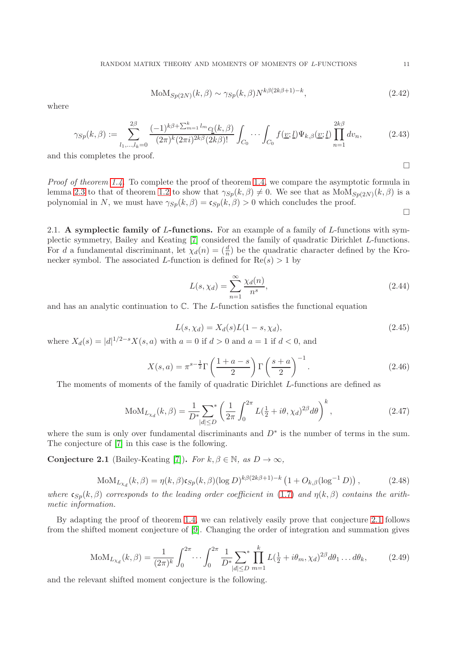$$
MoM_{Sp(2N)}(k, \beta) \sim \gamma_{Sp}(k, \beta)N^{k\beta(2k\beta+1)-k},\tag{2.42}
$$

where

<span id="page-10-0"></span>
$$
\gamma_{Sp}(k,\beta) := \sum_{l_1,\dots,l_k=0}^{2\beta} \frac{(-1)^{k\beta + \sum_{m=1}^k l_m} c_l(k,\beta)}{(2\pi)^k (2\pi i)^{2k\beta} (2k\beta)!} \int_{C_0} \cdots \int_{C_0} f(\underline{v};\underline{l}) \Psi_{k,\beta}(\underline{v};\underline{l}) \prod_{n=1}^{2k\beta} dv_n, \tag{2.43}
$$

and this completes the proof.

Proof of theorem [1.4.](#page-2-2) To complete the proof of theorem [1.4,](#page-2-2) we compare the asymptotic formula in lemma [2.3](#page-7-1) to that of theorem [1.2](#page-1-1) to show that  $\gamma_{Sp}(k,\beta) \neq 0$ . We see that as  $\text{MoM}_{Sp(2N)}(k,\beta)$  is a polynomial in N, we must have  $\gamma_{Sp}(k, \beta) = \mathfrak{c}_{Sp}(k, \beta) > 0$  which concludes the proof.

 $\Box$ 

 $\Box$ 

2.1. A symplectic family of L-functions. For an example of a family of L-functions with symplectic symmetry, Bailey and Keating [\[7\]](#page-16-11) considered the family of quadratic Dirichlet L-functions. For d a fundamental discriminant, let  $\chi_d(n) = \left(\frac{d}{n}\right)$  be the quadratic character defined by the Kronecker symbol. The associated L-function is defined for  $Re(s) > 1$  by

$$
L(s, \chi_d) = \sum_{n=1}^{\infty} \frac{\chi_d(n)}{n^s},\tag{2.44}
$$

and has an analytic continuation to  $\mathbb C$ . The *L*-function satisfies the functional equation

$$
L(s, \chi_d) = X_d(s)L(1 - s, \chi_d),
$$
\n(2.45)

where  $X_d(s) = |d|^{1/2-s} X(s, a)$  with  $a = 0$  if  $d > 0$  and  $a = 1$  if  $d < 0$ , and

$$
X(s,a) = \pi^{s-\frac{1}{2}} \Gamma\left(\frac{1+a-s}{2}\right) \Gamma\left(\frac{s+a}{2}\right)^{-1}.
$$
\n(2.46)

The moments of moments of the family of quadratic Dirichlet L-functions are defined as

$$
MoM_{L_{\chi_d}}(k,\beta) = \frac{1}{D^*} \sum_{|d| \le D} \left( \frac{1}{2\pi} \int_0^{2\pi} L(\frac{1}{2} + i\theta, \chi_d)^{2\beta} d\theta \right)^k,
$$
\n(2.47)

where the sum is only over fundamental discriminants and  $D^*$  is the number of terms in the sum. The conjecture of [\[7\]](#page-16-11) in this case is the following.

<span id="page-10-1"></span>Conjecture 2.1 (Bailey-Keating [\[7\]](#page-16-11)). For  $k, \beta \in \mathbb{N}$ , as  $D \to \infty$ ,

$$
MoM_{L_{\chi_d}}(k,\beta) = \eta(k,\beta)c_{Sp}(k,\beta)(\log D)^{k\beta(2k\beta+1)-k} \left(1 + O_{k,\beta}(\log^{-1} D)\right),
$$
\n(2.48)

where  $\mathfrak{c}_{Sp}(k,\beta)$  corresponds to the leading order coefficient in [\(1.7\)](#page-1-4) and  $\eta(k,\beta)$  contains the arithmetic information.

By adapting the proof of theorem [1.4,](#page-2-2) we can relatively easily prove that conjecture [2.1](#page-10-1) follows from the shifted moment conjecture of [\[9\]](#page-16-12). Changing the order of integration and summation gives

$$
M o M_{L_{\chi_d}}(k,\beta) = \frac{1}{(2\pi)^k} \int_0^{2\pi} \cdots \int_0^{2\pi} \frac{1}{D^*} \sum_{|d| \le D} \prod_{m=1}^k L(\frac{1}{2} + i\theta_m, \chi_d)^{2\beta} d\theta_1 \dots d\theta_k, \tag{2.49}
$$

and the relevant shifted moment conjecture is the following.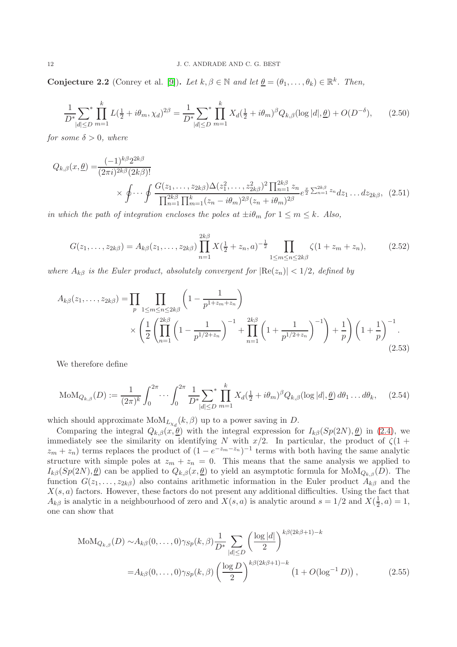**Conjecture 2.2** (Conrey et al. [\[9\]](#page-16-12)). Let  $k, \beta \in \mathbb{N}$  and let  $\underline{\theta} = (\theta_1, \dots, \theta_k) \in \mathbb{R}^k$ . Then,

$$
\frac{1}{D^*} \sum_{|d| \le D} \prod_{m=1}^k L(\frac{1}{2} + i\theta_m, \chi_d)^{2\beta} = \frac{1}{D^*} \sum_{|d| \le D} \prod_{m=1}^k X_d(\frac{1}{2} + i\theta_m)^{\beta} Q_{k,\beta}(\log |d|, \underline{\theta}) + O(D^{-\delta}), \tag{2.50}
$$

for some  $\delta > 0$ , where

$$
Q_{k,\beta}(x,\underline{\theta}) = \frac{(-1)^{k\beta} 2^{2k\beta}}{(2\pi i)^{2k\beta} (2k\beta)!} \times \oint \cdots \oint \frac{G(z_1,\ldots,z_{2k\beta})\Delta(z_1^2,\ldots,z_{2k\beta}^2)^2 \prod_{n=1}^{2k\beta} z_n}{\prod_{n=1}^{2k\beta} \prod_{m=1}^k (z_n - i\theta_m)^{2\beta} (z_n + i\theta_m)^{2\beta}} e^{\frac{x}{2} \sum_{n=1}^{2k\beta} z_n} dz_1 \ldots dz_{2k\beta}, \quad (2.51)
$$

in which the path of integration encloses the poles at  $\pm i\theta_m$  for  $1 \leq m \leq k$ . Also,

$$
G(z_1, \ldots, z_{2k\beta}) = A_{k\beta}(z_1, \ldots, z_{2k\beta}) \prod_{n=1}^{2k\beta} X(\frac{1}{2} + z_n, a)^{-\frac{1}{2}} \prod_{1 \le m \le n \le 2k\beta} \zeta(1 + z_m + z_n), \tag{2.52}
$$

where  $A_{k\beta}$  is the Euler product, absolutely convergent for  $|\text{Re}(z_n)| < 1/2$ , defined by

$$
A_{k\beta}(z_1,\ldots,z_{2k\beta}) = \prod_p \prod_{1 \le m \le n \le 2k\beta} \left(1 - \frac{1}{p^{1+z_m+z_n}}\right)
$$
  
\$\times \left(\frac{1}{2} \left(\prod\_{n=1}^{2k\beta} \left(1 - \frac{1}{p^{1/2+z\_n}}\right)^{-1} + \prod\_{n=1}^{2k\beta} \left(1 + \frac{1}{p^{1/2+z\_n}}\right)^{-1}\right) + \frac{1}{p}\right) \left(1 + \frac{1}{p}\right)^{-1}.\n  
(2.53)

We therefore define

$$
\text{MoM}_{Q_{k,\beta}}(D) := \frac{1}{(2\pi)^k} \int_0^{2\pi} \cdots \int_0^{2\pi} \frac{1}{D^*} \sum_{|d| \le D} \prod_{m=1}^k X_d(\frac{1}{2} + i\theta_m)^{\beta} Q_{k,\beta}(\log |d|, \underline{\theta}) d\theta_1 \dots d\theta_k, \quad (2.54)
$$

which should approximate  $\text{MoM}_{L_{\chi_d}}(k, \beta)$  up to a power saving in D.

Comparing the integral  $Q_{k,\beta}(x,\underline{\theta})$  with the integral expression for  $I_{k\beta}(Sp(2N),\underline{\theta})$  in [\(2.4\)](#page-3-1), we immediately see the similarity on identifying N with  $x/2$ . In particular, the product of  $\zeta(1 +$  $(z_m + z_n)$  terms replaces the product of  $(1 - e^{-z_m - z_n})^{-1}$  terms with both having the same analytic structure with simple poles at  $z_m + z_n = 0$ . This means that the same analysis we applied to  $I_{k\beta}(Sp(2N),\underline{\theta})$  can be applied to  $Q_{k,\beta}(x,\underline{\theta})$  to yield an asymptotic formula for  $\text{MoM}_{Q_{k,\beta}}(D)$ . The function  $G(z_1, \ldots, z_{2k\beta})$  also contains arithmetic information in the Euler product  $A_{k\beta}$  and the  $X(s, a)$  factors. However, these factors do not present any additional difficulties. Using the fact that  $A_{k\beta}$  is analytic in a neighbourhood of zero and  $X(s, a)$  is analytic around  $s = 1/2$  and  $X(\frac{1}{2})$  $(\frac{1}{2}, a) = 1,$ one can show that

$$
\text{MoM}_{Q_{k,\beta}}(D) \sim A_{k\beta}(0,\dots,0) \gamma_{Sp}(k,\beta) \frac{1}{D^*} \sum_{|d| \le D} \left(\frac{\log |d|}{2}\right)^{k\beta(2k\beta+1)-k}
$$
  
=  $A_{k\beta}(0,\dots,0) \gamma_{Sp}(k,\beta) \left(\frac{\log D}{2}\right)^{k\beta(2k\beta+1)-k} \left(1 + O(\log^{-1} D)\right),$  (2.55)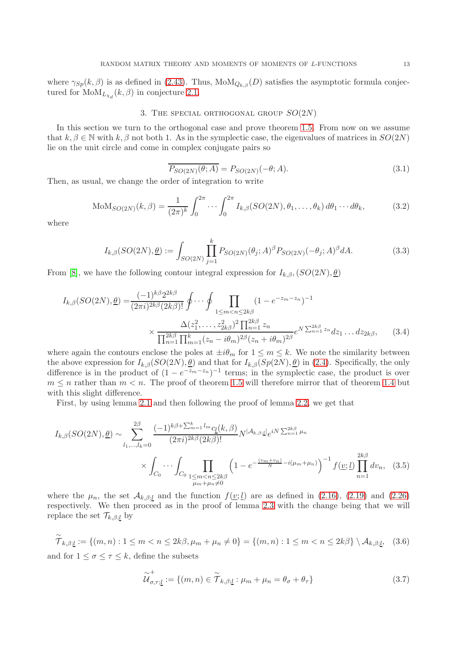where  $\gamma_{Sp}(k,\beta)$  is as defined in [\(2.43\)](#page-10-0). Thus,  $\text{MoM}_{Q_{k,\beta}}(D)$  satisfies the asymptotic formula conjectured for  $\text{MoM}_{L_{\chi_d}}(k, \beta)$  in conjecture [2.1.](#page-10-1)

## 3. THE SPECIAL ORTHOGONAL GROUP  $SO(2N)$

In this section we turn to the orthogonal case and prove theorem [1.5.](#page-2-3) From now on we assume that  $k, \beta \in \mathbb{N}$  with  $k, \beta$  not both 1. As in the symplectic case, the eigenvalues of matrices in  $SO(2N)$ lie on the unit circle and come in complex conjugate pairs so

<span id="page-12-0"></span>
$$
\overline{P_{SO(2N)}(\theta;A)} = P_{SO(2N)}(-\theta;A). \tag{3.1}
$$

Then, as usual, we change the order of integration to write

$$
\text{MoM}_{SO(2N)}(k,\beta) = \frac{1}{(2\pi)^k} \int_0^{2\pi} \cdots \int_0^{2\pi} I_{k,\beta}(SO(2N),\theta_1,\ldots,\theta_k) d\theta_1 \cdots d\theta_k, \tag{3.2}
$$

where

$$
I_{k,\beta}(SO(2N),\underline{\theta}) := \int_{SO(2N)} \prod_{j=1}^{k} P_{SO(2N)}(\theta_j;A)^{\beta} P_{SO(2N)}(-\theta_j;A)^{\beta} dA.
$$
 (3.3)

From [\[8\]](#page-16-4), we have the following contour integral expression for  $I_{k,\beta}$ ,  $(SO(2N), \underline{\theta})$ 

$$
I_{k,\beta}(SO(2N),\underline{\theta}) = \frac{(-1)^{k\beta} 2^{2k\beta}}{(2\pi i)^{2k\beta} (2k\beta)!} \oint \cdots \oint \prod_{1 \le m < n \le 2k\beta} (1 - e^{-z_m - z_n})^{-1}
$$

$$
\times \frac{\Delta(z_1^2, \dots, z_{2k\beta}^2)^2 \prod_{n=1}^{2k\beta} z_n}{\prod_{n=1}^{2k\beta} \prod_{m=1}^k (z_n - i\theta_m)^{2\beta} (z_n + i\theta_m)^{2\beta}} e^{N \sum_{n=1}^{2k\beta} z_n} dz_1 \dots dz_{2k\beta}, \tag{3.4}
$$

where again the contours enclose the poles at  $\pm i\theta_m$  for  $1 \leq m \leq k$ . We note the similarity between the above expression for  $I_{k,\beta}(SO(2N),\underline{\theta})$  and that for  $I_{k,\beta}(Sp(2N),\underline{\theta})$  in [\(2.4\)](#page-3-1). Specifically, the only difference is in the product of  $(1 - e^{-z_m-z_n})^{-1}$  terms; in the symplectic case, the product is over  $m \leq n$  rather than  $m \leq n$ . The proof of theorem [1.5](#page-2-3) will therefore mirror that of theorem [1.4](#page-2-2) but with this slight difference.

First, by using lemma [2.1](#page-3-3) and then following the proof of lemma [2.2,](#page-5-1) we get that

$$
I_{k,\beta}(SO(2N),\underline{\theta}) \sim \sum_{l_1,\dots,l_k=0}^{2\beta} \frac{(-1)^{k\beta + \sum_{m=1}^k l_m} c_{\underline{l}}(k,\beta)}{(2\pi i)^{2k\beta} (2k\beta)!} N^{|\mathcal{A}_{k,\beta;\underline{l}}|} e^{iN \sum_{n=1}^{2k\beta} \mu_n} \times \int_{C_0} \cdots \int_{C_0} \prod_{\substack{1 \le m < n \le 2k\beta \\ \mu_m + \mu_n \ne 0}} \left(1 - e^{-\frac{(v_m + v_n)}{N} - i(\mu_m + \mu_n)}\right)^{-1} f(\underline{v};\underline{l}) \prod_{n=1}^{2k\beta} dv_n, \quad (3.5)
$$

where the  $\mu_n$ , the set  $\mathcal{A}_{k,\beta;\underline{l}}$  and the function  $f(\underline{v};\underline{l})$  are as defined in [\(2.16\)](#page-5-0), [\(2.19\)](#page-6-0) and [\(2.26\)](#page-7-0) respectively. We then proceed as in the proof of lemma [2.3](#page-7-1) with the change being that we will replace the set  $\mathcal{T}_{k,\beta;\underline{l}}$  by

$$
\widetilde{\mathcal{T}}_{k,\beta;\underline{l}} := \{(m,n): 1 \leq m < n \leq 2k\beta, \mu_m + \mu_n \neq 0\} = \{(m,n): 1 \leq m < n \leq 2k\beta\} \setminus \mathcal{A}_{k,\beta;\underline{l}}, \tag{3.6}
$$

and for  $1 \leq \sigma \leq \tau \leq k$ , define the subsets

$$
\widetilde{\mathcal{U}}_{\sigma,\tau;\underline{l}}^{+} := \{ (m,n) \in \widetilde{\mathcal{T}}_{k,\beta;\underline{l}} : \mu_m + \mu_n = \theta_{\sigma} + \theta_{\tau} \}
$$
\n(3.7)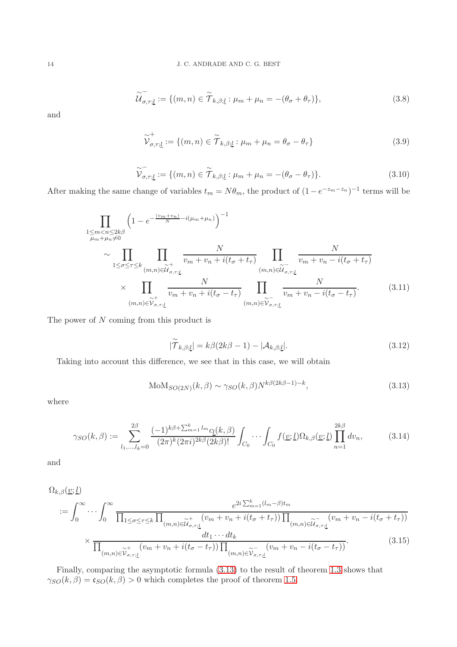$$
\widetilde{\mathcal{U}}_{\sigma,\tau;\underline{l}}^{-} := \{ (m,n) \in \widetilde{\mathcal{T}}_{k,\beta;\underline{l}} : \mu_m + \mu_n = -(\theta_{\sigma} + \theta_{\tau}) \},\tag{3.8}
$$

and

$$
\widetilde{\mathcal{V}}_{\sigma,\tau;\underline{l}}^{+} := \{ (m,n) \in \widetilde{\mathcal{T}}_{k,\beta;\underline{l}} : \mu_m + \mu_n = \theta_{\sigma} - \theta_{\tau} \}
$$
\n(3.9)

$$
\widetilde{\mathcal{V}}_{\sigma,\tau;\underline{l}}^- := \{ (m,n) \in \widetilde{\mathcal{T}}_{k,\beta;\underline{l}} : \mu_m + \mu_n = -(\theta_\sigma - \theta_\tau) \}. \tag{3.10}
$$

After making the same change of variables  $t_m = N\theta_m$ , the product of  $(1 - e^{-z_m - z_n})^{-1}$  terms will be

$$
\prod_{\substack{1 \le m < n \le 2k\beta \\ \mu_m + \mu_n \neq 0}} \left( 1 - e^{-\frac{(v_m + v_n)}{N} - i(\mu_m + \mu_n)} \right)^{-1}
$$
\n
$$
\sim \prod_{1 \le \sigma \le \tau \le k} \prod_{\substack{(m,n) \in \widetilde{\mathcal{U}}_{\sigma,\tau;\underline{l}} \\ (m,n) \in \widetilde{\mathcal{U}}_{\sigma,\tau;\underline{l}}}} \frac{N}{v_m + v_n + i(t_\sigma + t_\tau)} \prod_{\substack{(m,n) \in \widetilde{\mathcal{U}}_{\sigma,\tau;\underline{l}} \\ (m,n) \in \widetilde{\mathcal{V}}_{\sigma,\tau;\underline{l}}}} \frac{N}{v_m + v_n - i(t_\sigma + t_\tau)}
$$
\n
$$
\times \prod_{\substack{(m,n) \in \widetilde{\mathcal{V}}_{\sigma,\tau;\underline{l}} \\ (m,n) \in \widetilde{\mathcal{V}}_{\sigma,\tau;\underline{l}}}} \frac{N}{v_m + v_n - i(t_\sigma - t_\tau)}.
$$
\n(3.11)

The power of N coming from this product is

$$
|\widetilde{\mathcal{T}}_{k,\beta;\underline{l}}| = k\beta(2k\beta - 1) - |\mathcal{A}_{k,\beta;\underline{l}}|.
$$
\n(3.12)

Taking into account this difference, we see that in this case, we will obtain

<span id="page-13-1"></span>
$$
MoM_{SO(2N)}(k,\beta) \sim \gamma_{SO}(k,\beta)N^{k\beta(2k\beta-1)-k},\tag{3.13}
$$

where

<span id="page-13-0"></span>
$$
\gamma_{SO}(k,\beta) := \sum_{l_1,\dots,l_k=0}^{2\beta} \frac{(-1)^{k\beta + \sum_{m=1}^k l_m} c_l(k,\beta)}{(2\pi)^k (2\pi i)^{2k\beta} (2k\beta)!} \int_{C_0} \cdots \int_{C_0} f(\underline{v};\underline{l}) \Omega_{k,\beta}(\underline{v};\underline{l}) \prod_{n=1}^{2k\beta} dv_n, \tag{3.14}
$$

and

$$
\Omega_{k,\beta}(\underline{v};\underline{l})
$$
\n
$$
:= \int_0^\infty \cdots \int_0^\infty \frac{e^{2i \sum_{m=1}^k (l_m - \beta)t_m}}{\prod_{1 \le \sigma \le \tau \le k} \prod_{(m,n) \in \widetilde{\mathcal{U}}_{\sigma,\tau;\underline{l}}} (v_m + v_n + i(t_\sigma + t_\tau)) \prod_{(m,n) \in \widetilde{\mathcal{U}}_{\sigma,\tau;\underline{l}}} (v_m + v_n - i(t_\sigma + t_\tau))}
$$
\n
$$
\times \frac{dt_1 \cdots dt_k}{\prod_{(m,n) \in \widetilde{\mathcal{V}}_{\sigma,\tau;\underline{l}}} (v_m + v_n + i(t_\sigma - t_\tau)) \prod_{(m,n) \in \widetilde{\mathcal{V}}_{\sigma,\tau;\underline{l}}} (v_m + v_n - i(t_\sigma - t_\tau))}.
$$
\n(3.15)

Finally, comparing the asymptotic formula [\(3.13\)](#page-13-1) to the result of theorem [1.3](#page-1-2) shows that  $\gamma_{SO}(k,\beta) = \mathfrak{c}_{SO}(k,\beta) > 0$  which completes the proof of theorem [1.5.](#page-2-3)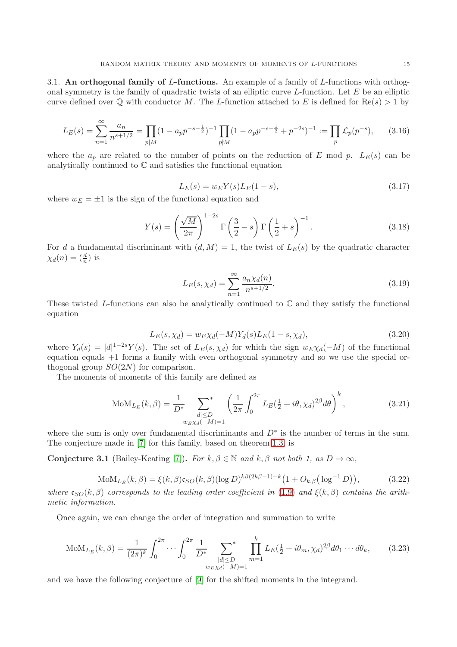3.1. An orthogonal family of L-functions. An example of a family of L-functions with orthogonal symmetry is the family of quadratic twists of an elliptic curve  $L$ -function. Let  $E$  be an elliptic curve defined over  $\mathbb Q$  with conductor M. The L-function attached to E is defined for Re(s) > 1 by

$$
L_E(s) = \sum_{n=1}^{\infty} \frac{a_n}{n^{s+1/2}} = \prod_{p \mid M} (1 - a_p p^{-s - \frac{1}{2}})^{-1} \prod_{p \nmid M} (1 - a_p p^{-s - \frac{1}{2}} + p^{-2s})^{-1} := \prod_p \mathcal{L}_p(p^{-s}), \tag{3.16}
$$

where the  $a_p$  are related to the number of points on the reduction of E mod p.  $L_E(s)$  can be analytically continued to C and satisfies the functional equation

$$
L_E(s) = w_E Y(s) L_E(1 - s), \tag{3.17}
$$

where  $w_E = \pm 1$  is the sign of the functional equation and

$$
Y(s) = \left(\frac{\sqrt{M}}{2\pi}\right)^{1-2s} \Gamma\left(\frac{3}{2} - s\right) \Gamma\left(\frac{1}{2} + s\right)^{-1}.
$$
 (3.18)

For d a fundamental discriminant with  $(d, M) = 1$ , the twist of  $L_E(s)$  by the quadratic character  $\chi_d(n)=(\frac{d}{n})$  is

$$
L_E(s, \chi_d) = \sum_{n=1}^{\infty} \frac{a_n \chi_d(n)}{n^{s+1/2}}.
$$
\n(3.19)

These twisted L-functions can also be analytically continued to  $\mathbb C$  and they satisfy the functional equation

$$
L_E(s, \chi_d) = w_E \chi_d(-M) Y_d(s) L_E(1 - s, \chi_d), \tag{3.20}
$$

where  $Y_d(s) = |d|^{1-2s}Y(s)$ . The set of  $L_E(s, \chi_d)$  for which the sign  $w_E\chi_d(-M)$  of the functional equation equals +1 forms a family with even orthogonal symmetry and so we use the special orthogonal group  $SO(2N)$  for comparison.

The moments of moments of this family are defined as

$$
M o M_{L_E}(k, \beta) = \frac{1}{D^*} \sum_{\substack{|d| \le D \\ w_E \chi_d(-M) = 1}} \left( \frac{1}{2\pi} \int_0^{2\pi} L_E(\frac{1}{2} + i\theta, \chi_d)^{2\beta} d\theta \right)^k, \tag{3.21}
$$

where the sum is only over fundamental discriminants and  $D^*$  is the number of terms in the sum. The conjecture made in [\[7\]](#page-16-11) for this family, based on theorem [1.3,](#page-1-2) is

<span id="page-14-0"></span>Conjecture 3.1 (Bailey-Keating [\[7\]](#page-16-11)). For  $k, \beta \in \mathbb{N}$  and  $k, \beta$  not both 1, as  $D \to \infty$ ,

$$
MoM_{L_E}(k, \beta) = \xi(k, \beta)\mathfrak{c}_{SO}(k, \beta)(\log D)^{k\beta(2k\beta - 1) - k}\big(1 + O_{k, \beta}\big(\log^{-1} D\big)\big),\tag{3.22}
$$

where  $c_{SO}(k, \beta)$  corresponds to the leading order coefficient in [\(1.9\)](#page-1-5) and  $\xi(k, \beta)$  contains the arithmetic information.

Once again, we can change the order of integration and summation to write

$$
MoM_{L_E}(k, \beta) = \frac{1}{(2\pi)^k} \int_0^{2\pi} \cdots \int_0^{2\pi} \frac{1}{D^*} \sum_{\substack{|d| \le D \\ w \in \chi_d(-M)=1}}^{\infty} \prod_{m=1}^k L_E(\frac{1}{2} + i\theta_m, \chi_d)^{2\beta} d\theta_1 \cdots d\theta_k, \tag{3.23}
$$

and we have the following conjecture of [\[9\]](#page-16-12) for the shifted moments in the integrand.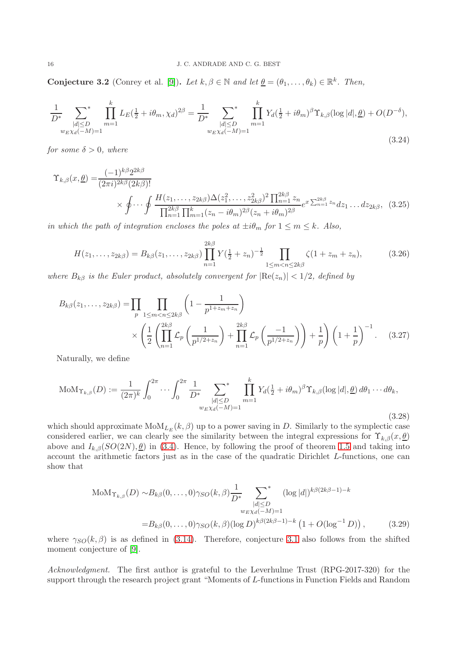**Conjecture 3.2** (Conrey et al. [\[9\]](#page-16-12)). Let  $k, \beta \in \mathbb{N}$  and let  $\underline{\theta} = (\theta_1, \dots, \theta_k) \in \mathbb{R}^k$ . Then,

$$
\frac{1}{D^*} \sum_{\substack{|d| \le D \\ w \in \chi_d(-M)=1}}^{\infty} \prod_{m=1}^k L_E(\frac{1}{2} + i\theta_m, \chi_d)^{2\beta} = \frac{1}{D^*} \sum_{\substack{|d| \le D \\ w \in \chi_d(-M)=1}}^{\infty} \prod_{m=1}^k Y_d(\frac{1}{2} + i\theta_m)^{\beta} \Upsilon_{k,\beta}(\log |d|, \underline{\theta}) + O(D^{-\delta}),
$$
\n(3.24)

for some  $\delta > 0$ , where

$$
\Upsilon_{k,\beta}(x,\underline{\theta}) = \frac{(-1)^{k\beta} 2^{2k\beta}}{(2\pi i)^{2k\beta} (2k\beta)!}
$$
  
 
$$
\times \oint \cdots \oint \frac{H(z_1,\ldots,z_{2k\beta})\Delta(z_1^2,\ldots,z_{2k\beta}^2)^2 \prod_{n=1}^{2k\beta} z_n}{\prod_{n=1}^{2k\beta} \prod_{m=1}^k (z_n - i\theta_m)^{2\beta} (z_n + i\theta_m)^{2\beta}} e^{x \sum_{n=1}^{2k\beta} z_n} dz_1 \ldots dz_{2k\beta}, \quad (3.25)
$$

in which the path of integration encloses the poles at  $\pm i\theta_m$  for  $1 \leq m \leq k$ . Also,

$$
H(z_1, \ldots, z_{2k\beta}) = B_{k\beta}(z_1, \ldots, z_{2k\beta}) \prod_{n=1}^{2k\beta} Y(\frac{1}{2} + z_n)^{-\frac{1}{2}} \prod_{1 \le m < n \le 2k\beta} \zeta(1 + z_m + z_n),\tag{3.26}
$$

where  $B_{k\beta}$  is the Euler product, absolutely convergent for  $|\text{Re}(z_n)| < 1/2$ , defined by

$$
B_{k\beta}(z_1, ..., z_{2k\beta}) = \prod_p \prod_{1 \le m < n \le 2k\beta} \left( 1 - \frac{1}{p^{1+z_m+z_n}} \right) \times \left( \frac{1}{2} \left( \prod_{n=1}^{2k\beta} \mathcal{L}_p \left( \frac{1}{p^{1/2+z_n}} \right) + \prod_{n=1}^{2k\beta} \mathcal{L}_p \left( \frac{-1}{p^{1/2+z_n}} \right) \right) + \frac{1}{p} \right) \left( 1 + \frac{1}{p} \right)^{-1} . \tag{3.27}
$$

Naturally, we define

$$
\text{MoM}_{\Upsilon_{k,\beta}}(D) := \frac{1}{(2\pi)^k} \int_0^{2\pi} \cdots \int_0^{2\pi} \frac{1}{D^*} \sum_{\substack{|d| \le D \\ w_E \chi_d(-M) = 1}}^{\infty} \prod_{m=1}^k Y_d(\frac{1}{2} + i\theta_m)^{\beta} \Upsilon_{k,\beta}(\log |d|, \underline{\theta}) d\theta_1 \cdots d\theta_k,
$$
\n(3.28)

which should approximate  $\text{MoM}_{L_E}(k, \beta)$  up to a power saving in D. Similarly to the symplectic case considered earlier, we can clearly see the similarity between the integral expressions for  $\Upsilon_{k,\beta}(x,\underline{\theta})$ above and  $I_{k,\beta}(SO(2N),\theta)$  in [\(3.4\)](#page-12-0). Hence, by following the proof of theorem [1.5](#page-2-3) and taking into account the arithmetic factors just as in the case of the quadratic Dirichlet L-functions, one can show that

$$
\text{MoM}_{\Upsilon_{k,\beta}}(D) \sim B_{k\beta}(0,\dots,0) \gamma_{SO}(k,\beta) \frac{1}{D^*} \sum_{\substack{|d| \leq D \\ w_{EXd}(-M)=1}}^{\infty} (\log |d|)^{k\beta(2k\beta-1)-k}
$$
  
= 
$$
B_{k\beta}(0,\dots,0) \gamma_{SO}(k,\beta) (\log D)^{k\beta(2k\beta-1)-k} \left(1 + O(\log^{-1} D)\right), \tag{3.29}
$$

where  $\gamma_{SO}(k,\beta)$  is as defined in [\(3.14\)](#page-13-0). Therefore, conjecture [3.1](#page-14-0) also follows from the shifted moment conjecture of [\[9\]](#page-16-12).

Acknowledgment. The first author is grateful to the Leverhulme Trust (RPG-2017-320) for the support through the research project grant "Moments of L-functions in Function Fields and Random